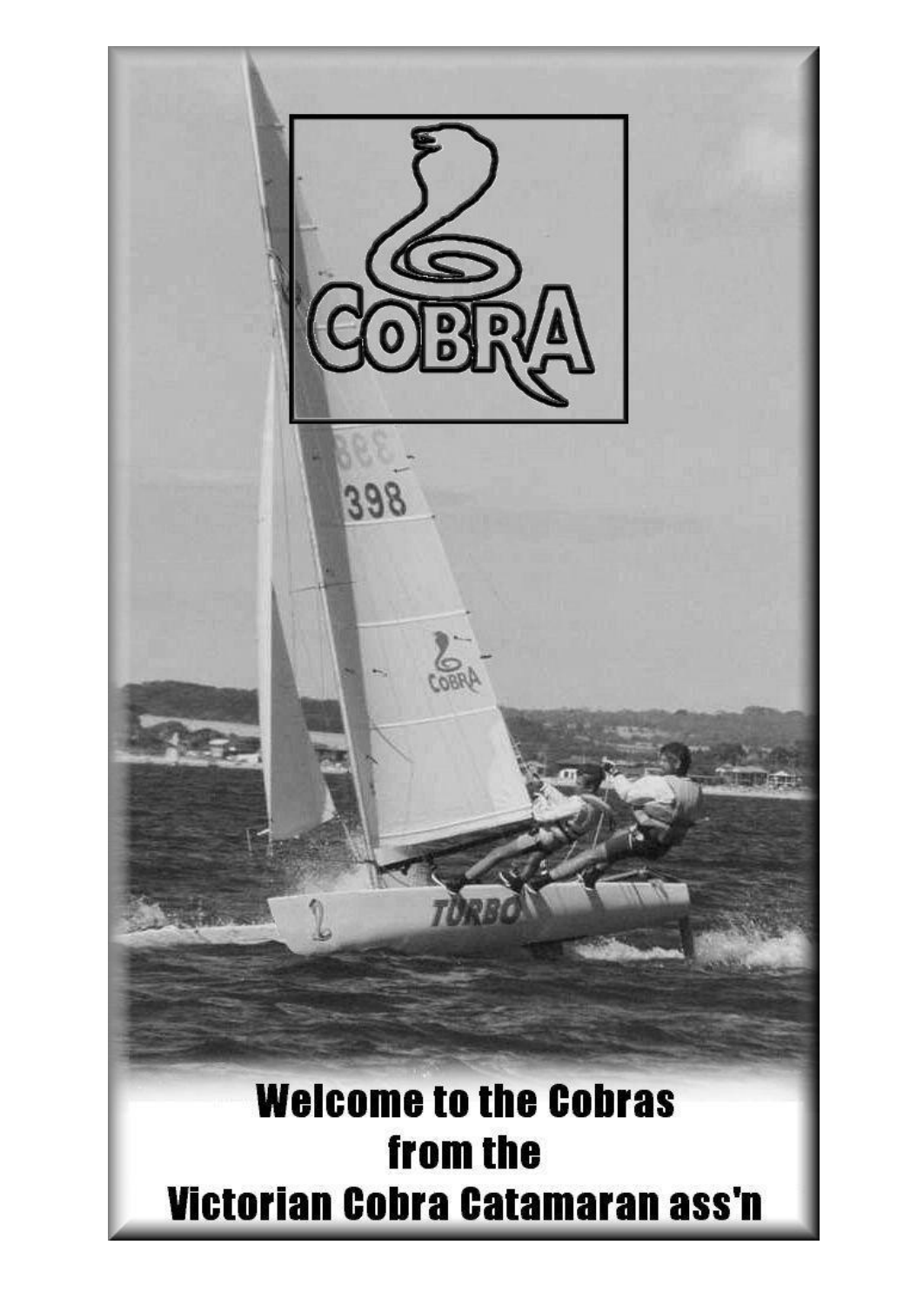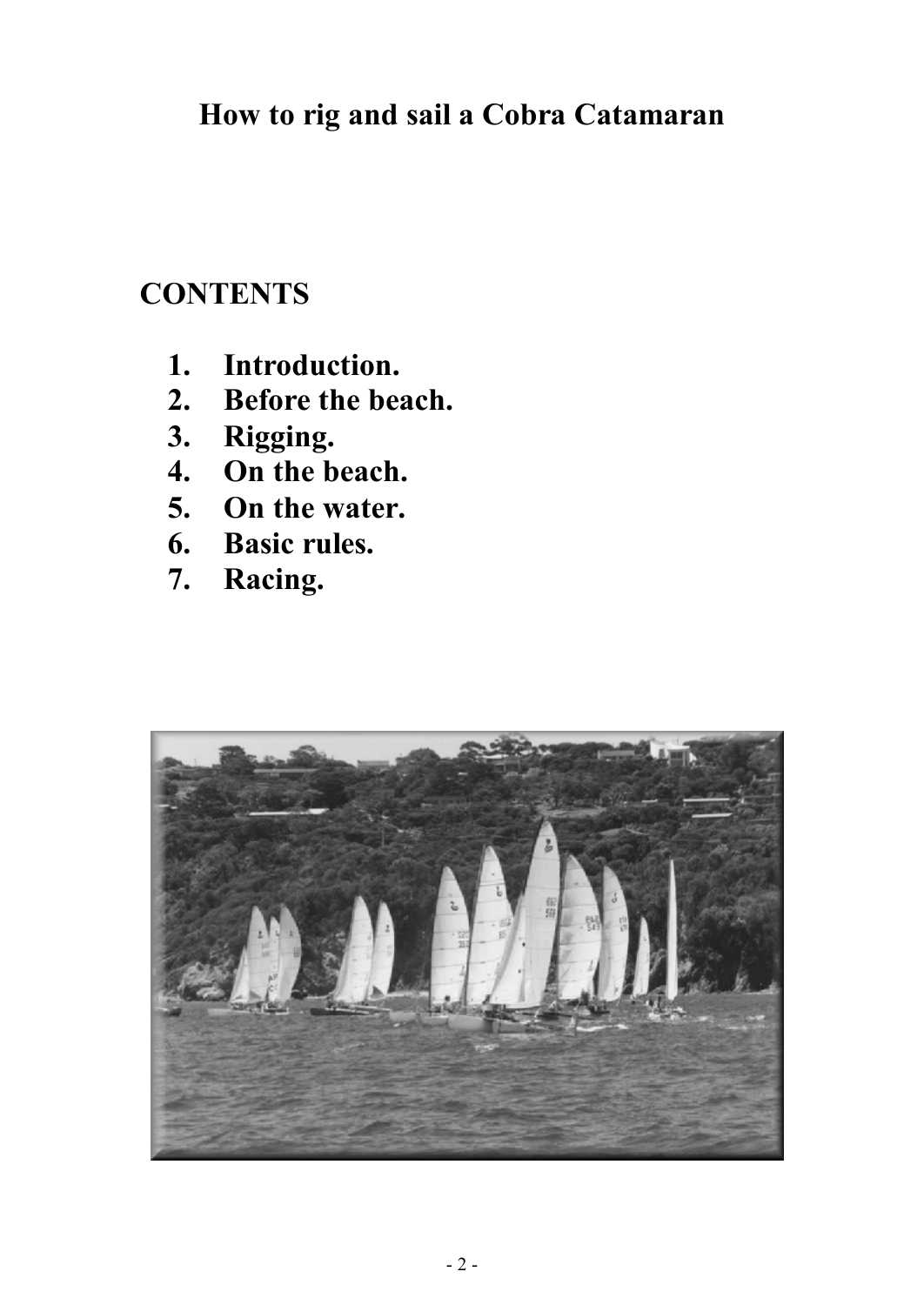# **CONTENTS**

- **1. Introduction.**
- **2. Before the beach.**
- **3. Rigging.**
- **4. On the beach.**
- **5. On the water.**
- **6. Basic rules.**
- **7. Racing.**

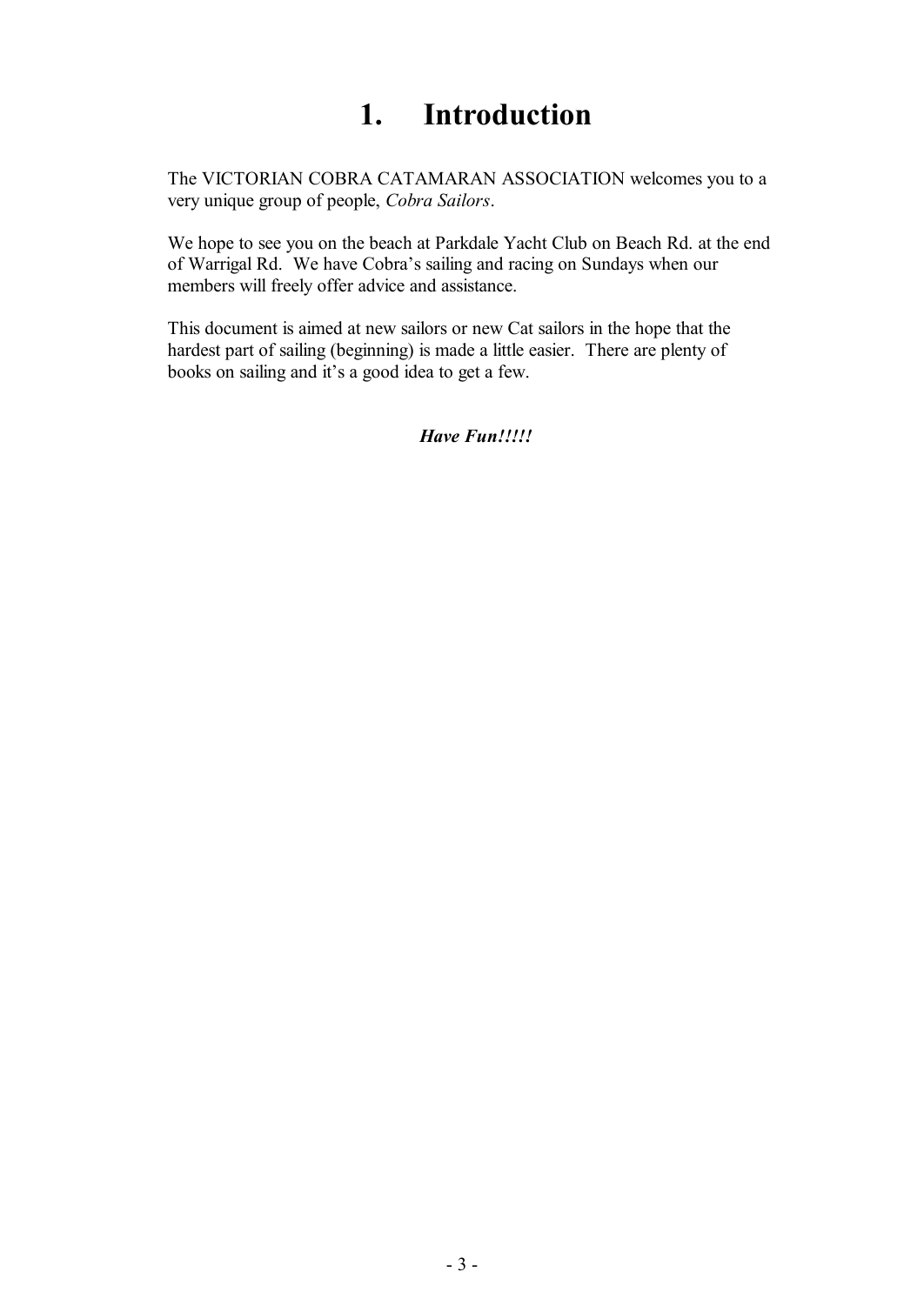# **1. Introduction**

The VICTORIAN COBRA CATAMARAN ASSOCIATION welcomes you to a very unique group of people, *Cobra Sailors*.

We hope to see you on the beach at Parkdale Yacht Club on Beach Rd. at the end of Warrigal Rd. We have Cobra's sailing and racing on Sundays when our members will freely offer advice and assistance.

This document is aimed at new sailors or new Cat sailors in the hope that the hardest part of sailing (beginning) is made a little easier. There are plenty of books on sailing and it's a good idea to get a few.

*Have Fun!!!!!*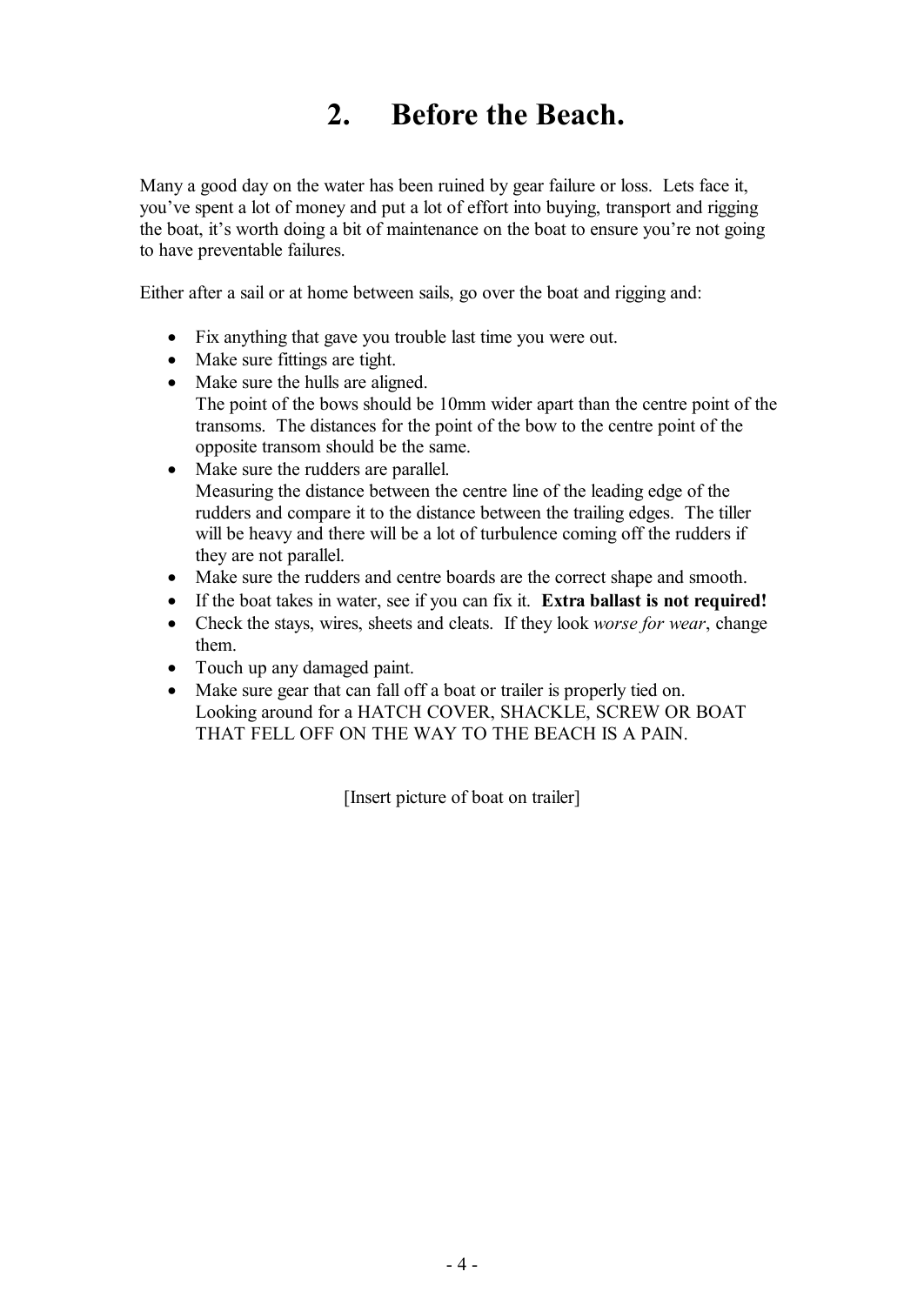# **2. Before the Beach.**

Many a good day on the water has been ruined by gear failure or loss. Lets face it, you've spent a lot of money and put a lot of effort into buying, transport and rigging the boat, it's worth doing a bit of maintenance on the boat to ensure you're not going to have preventable failures.

Either after a sail or at home between sails, go over the boat and rigging and:

- · Fix anything that gave you trouble last time you were out.
- Make sure fittings are tight.
- Make sure the hulls are aligned. The point of the bows should be 10mm wider apart than the centre point of the transoms. The distances for the point of the bow to the centre point of the opposite transom should be the same.
- Make sure the rudders are parallel. Measuring the distance between the centre line of the leading edge of the rudders and compare it to the distance between the trailing edges. The tiller will be heavy and there will be a lot of turbulence coming off the rudders if they are not parallel.
- · Make sure the rudders and centre boards are the correct shape and smooth.
- · If the boat takes in water, see if you can fix it. **Extra ballast is not required!**
- · Check the stays, wires, sheets and cleats. If they look *worse for wear*, change them.
- Touch up any damaged paint.
- Make sure gear that can fall off a boat or trailer is properly tied on. Looking around for a HATCH COVER, SHACKLE, SCREW OR BOAT THAT FELL OFF ON THE WAY TO THE BEACH IS A PAIN.

[Insert picture of boat on trailer]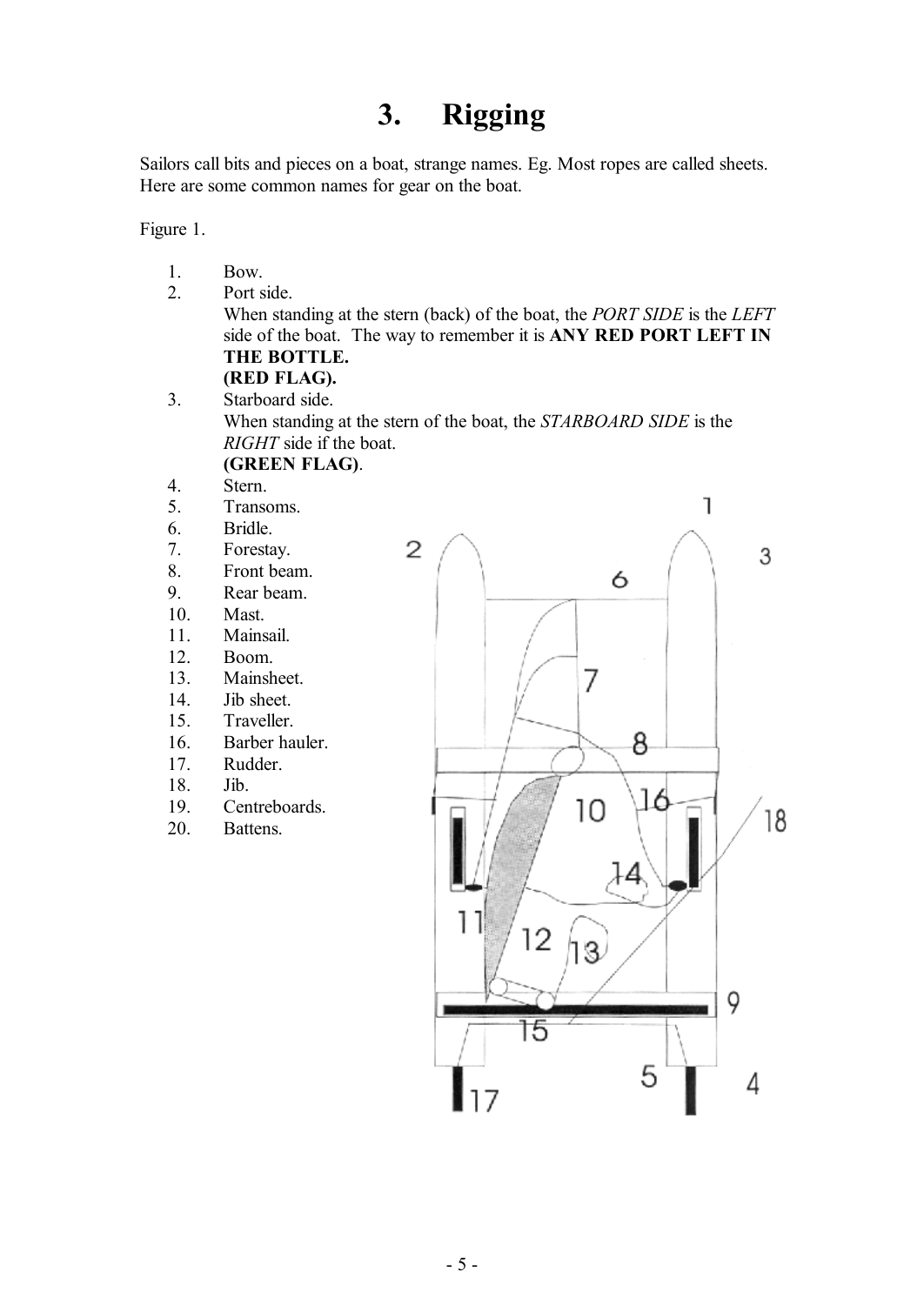### **3. Rigging**

Sailors call bits and pieces on a boat, strange names. Eg. Most ropes are called sheets. Here are some common names for gear on the boat.

Figure 1.

- 1. Bow.
- 2. Port side.

When standing at the stern (back) of the boat, the *PORT SIDE* is the *LEFT* side of the boat. The way to remember it is **ANY RED PORT LEFT IN THE BOTTLE.** 

- **(RED FLAG).**  3. Starboard side. When standing at the stern of the boat, the *STARBOARD SIDE* is the *RIGHT* side if the boat. **(GREEN FLAG)**.
- 4. Stern.
- 5. Transoms.
- 6. Bridle.
- 7. Forestay.
- 8. Front beam.
- 9. Rear beam.
- 10. Mast.
- 11. Mainsail.
- 12. Boom.
- 13. Mainsheet.
- 14. Jib sheet.
- 15. Traveller.
- 16. Barber hauler.
- 17. Rudder.
- 18. Jib.
- 19. Centreboards.
- 20. Battens.

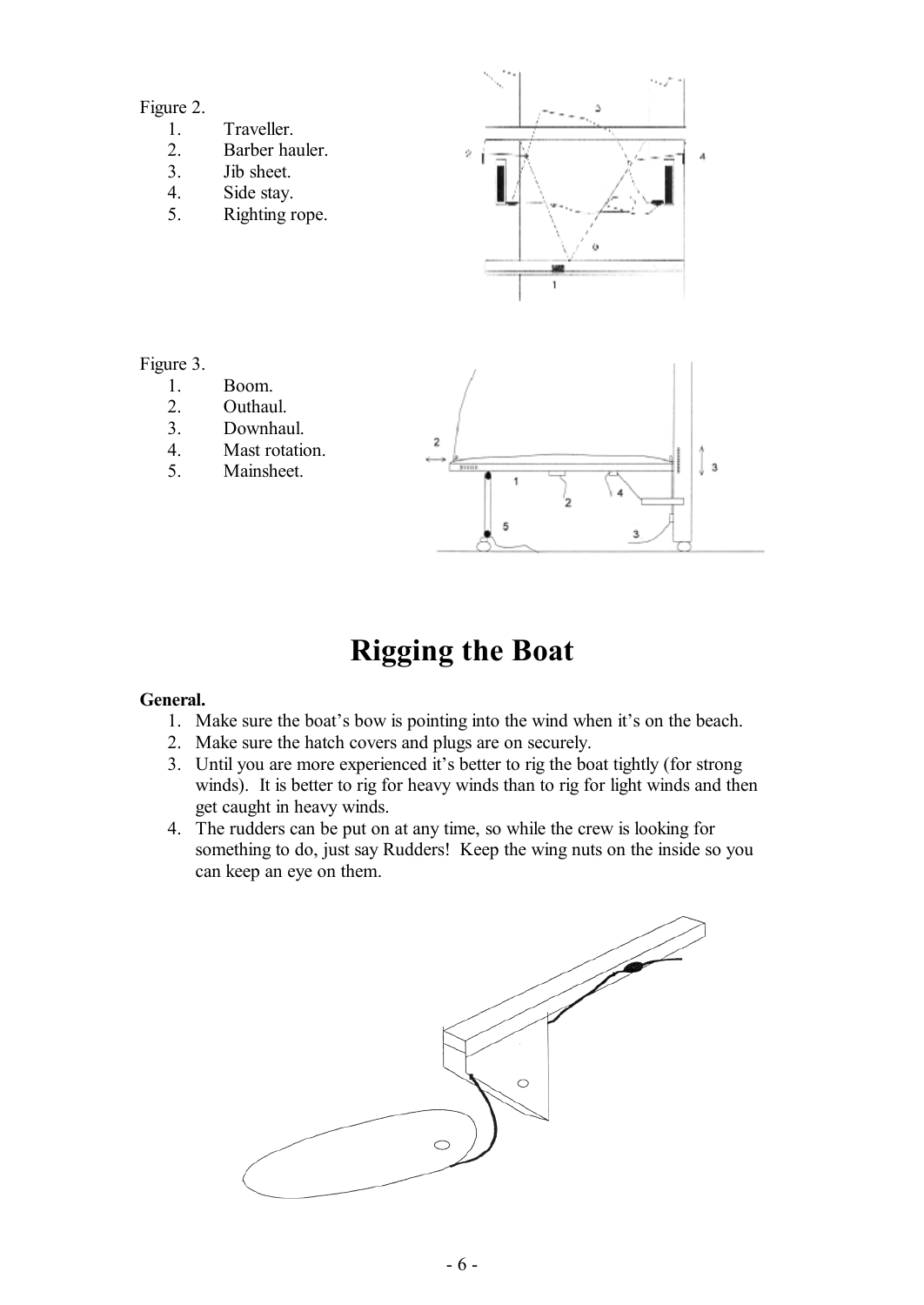#### Figure 2.

- 1. Traveller.<br>2. Barber ha
- Barber hauler.
- 3. Jib sheet.
- 4. Side stay.
- 5. Righting rope.



Figure 3.

- 1. Boom.<br>2. Outhau
- Outhaul.
- 3. Downhaul.
- 4. Mast rotation.
- 5. Mainsheet.



# **Rigging the Boat**

#### **General.**

- 1. Make sure the boat's bow is pointing into the wind when it's on the beach.
- 2. Make sure the hatch covers and plugs are on securely.
- 3. Until you are more experienced it's better to rig the boat tightly (for strong winds). It is better to rig for heavy winds than to rig for light winds and then get caught in heavy winds.
- 4. The rudders can be put on at any time, so while the crew is looking for something to do, just say Rudders! Keep the wing nuts on the inside so you can keep an eye on them.

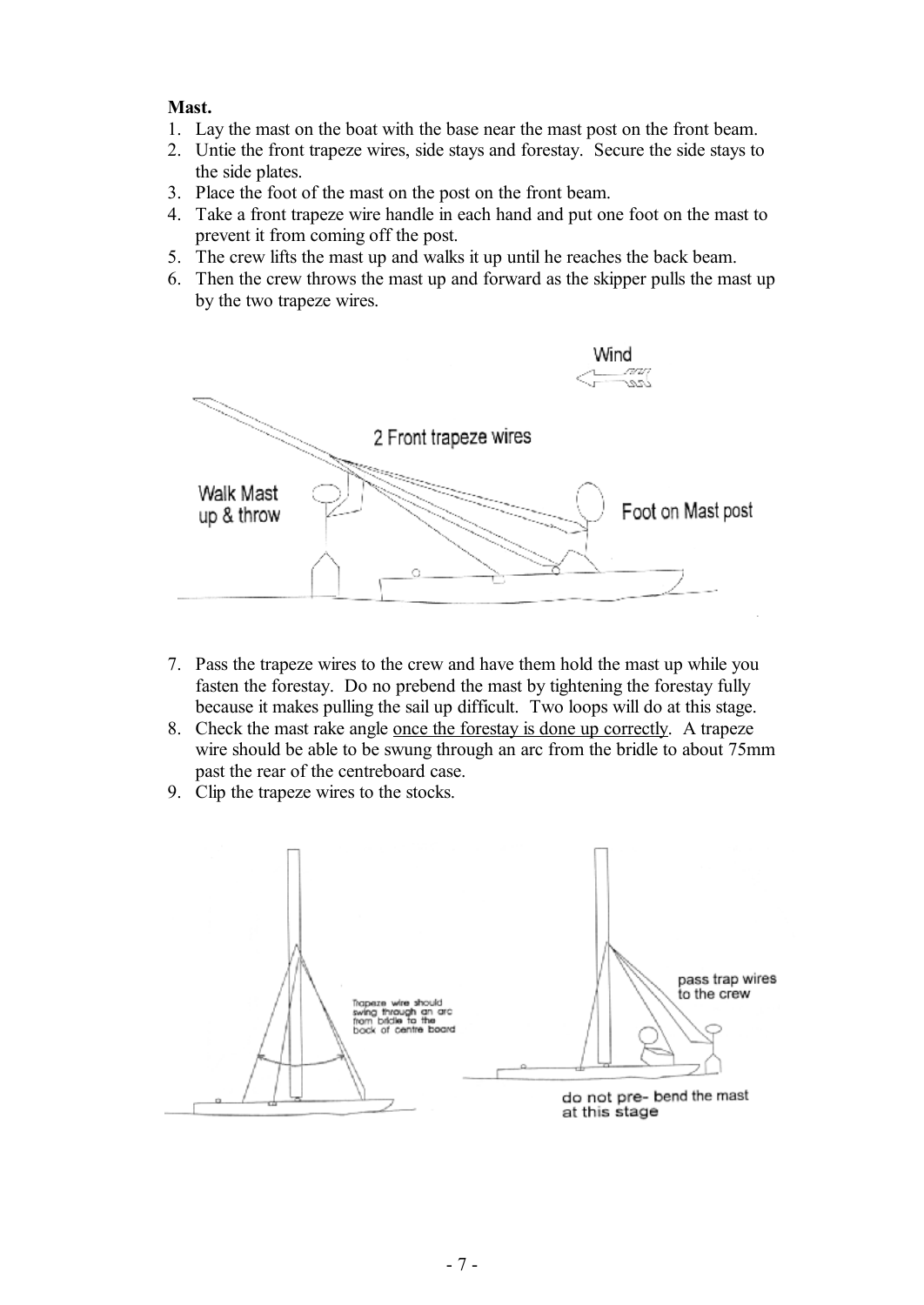#### **Mast.**

- 1. Lay the mast on the boat with the base near the mast post on the front beam.
- 2. Untie the front trapeze wires, side stays and forestay. Secure the side stays to the side plates.
- 3. Place the foot of the mast on the post on the front beam.
- 4. Take a front trapeze wire handle in each hand and put one foot on the mast to prevent it from coming off the post.
- 5. The crew lifts the mast up and walks it up until he reaches the back beam.
- 6. Then the crew throws the mast up and forward as the skipper pulls the mast up by the two trapeze wires.



- 7. Pass the trapeze wires to the crew and have them hold the mast up while you fasten the forestay. Do no prebend the mast by tightening the forestay fully because it makes pulling the sail up difficult. Two loops will do at this stage.
- 8. Check the mast rake angle once the forestay is done up correctly. A trapeze wire should be able to be swung through an arc from the bridle to about 75mm past the rear of the centreboard case.
- 9. Clip the trapeze wires to the stocks.

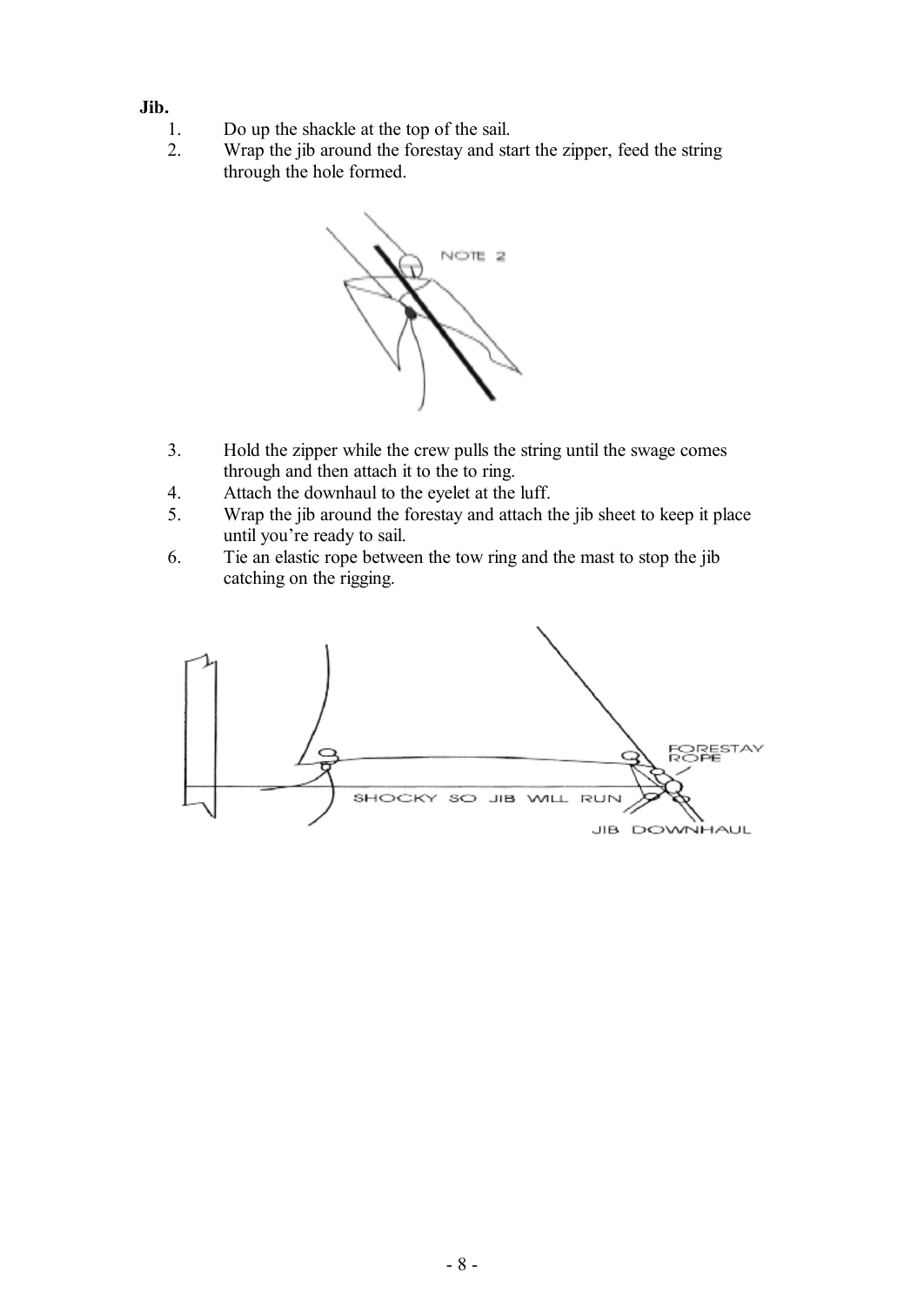- **Jib.**
	- 1. Do up the shackle at the top of the sail.
	- 2. Wrap the jib around the forestay and start the zipper, feed the string through the hole formed.



- 3. Hold the zipper while the crew pulls the string until the swage comes through and then attach it to the to ring.
- 4. Attach the downhaul to the eyelet at the luff.
- 5. Wrap the jib around the forestay and attach the jib sheet to keep it place until you're ready to sail.
- 6. Tie an elastic rope between the tow ring and the mast to stop the jib catching on the rigging.

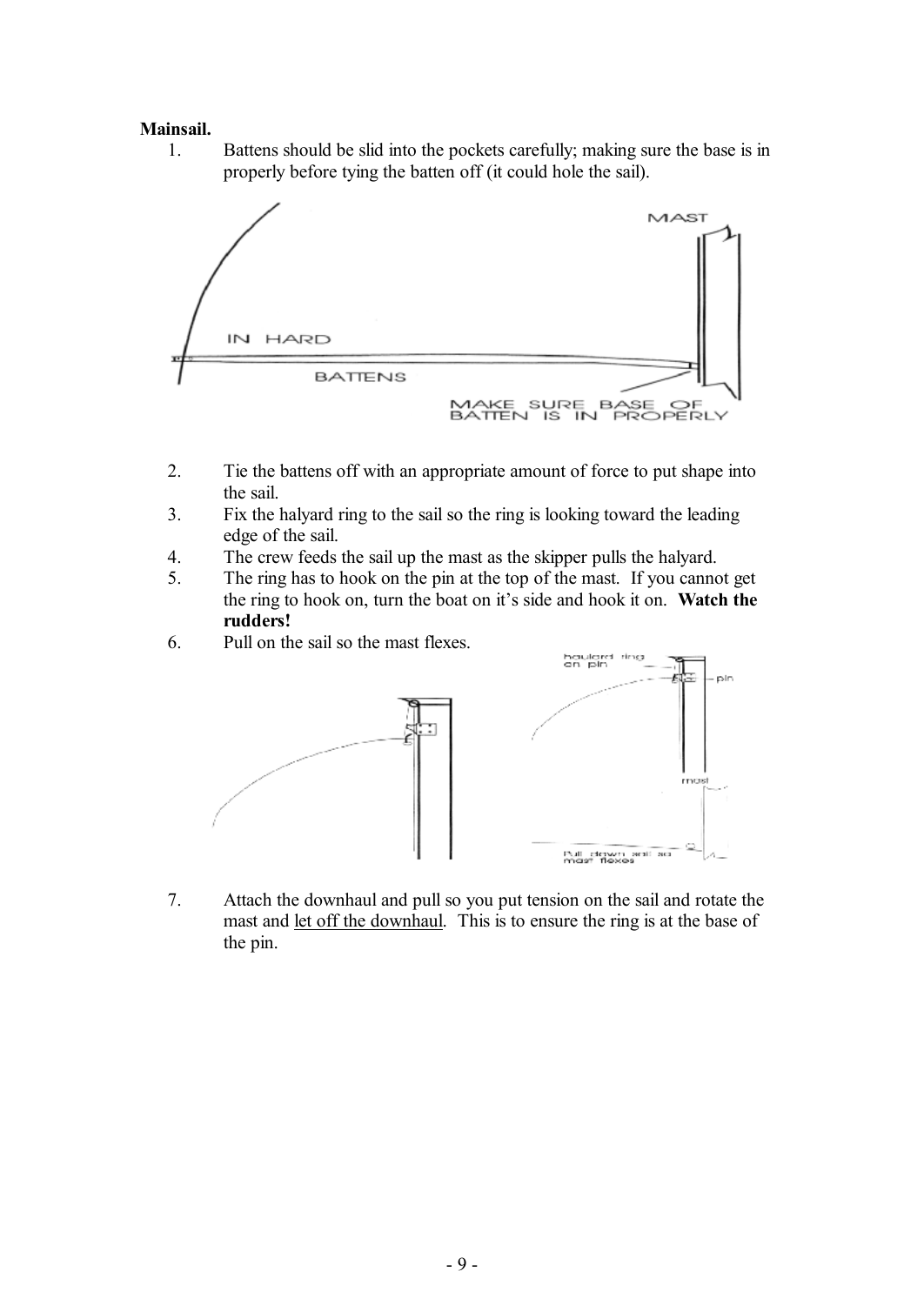#### **Mainsail.**

1. Battens should be slid into the pockets carefully; making sure the base is in properly before tying the batten off (it could hole the sail).



- 2. Tie the battens off with an appropriate amount of force to put shape into the sail.
- 3. Fix the halyard ring to the sail so the ring is looking toward the leading edge of the sail.
- 4. The crew feeds the sail up the mast as the skipper pulls the halyard.
- 5. The ring has to hook on the pin at the top of the mast. If you cannot get the ring to hook on, turn the boat on it's side and hook it on. **Watch the rudders!**
- 6. Pull on the sail so the mast flexes.



7. Attach the downhaul and pull so you put tension on the sail and rotate the mast and let off the downhaul. This is to ensure the ring is at the base of the pin.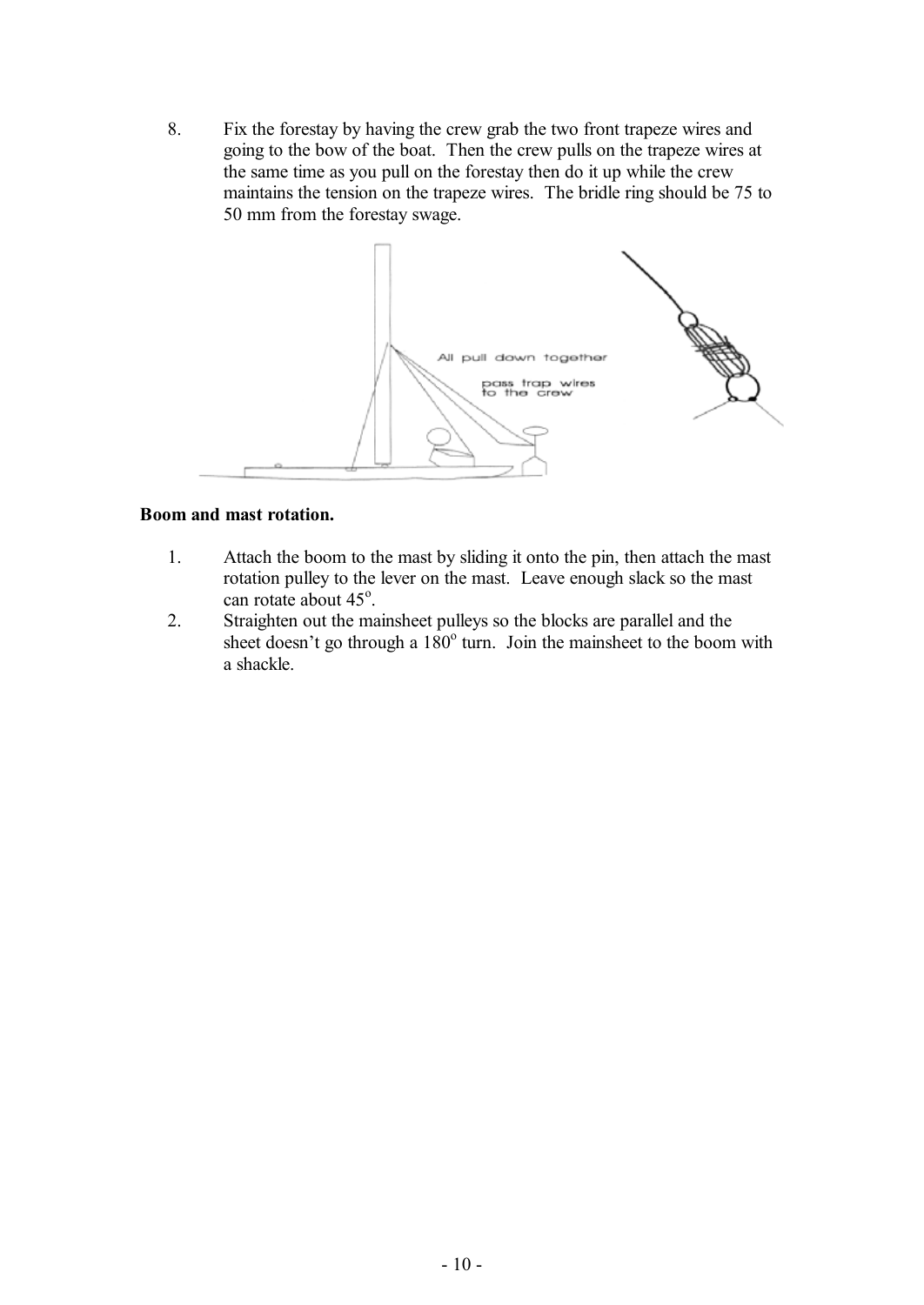8. Fix the forestay by having the crew grab the two front trapeze wires and going to the bow of the boat. Then the crew pulls on the trapeze wires at the same time as you pull on the forestay then do it up while the crew maintains the tension on the trapeze wires. The bridle ring should be 75 to 50 mm from the forestay swage.



#### **Boom and mast rotation.**

- 1. Attach the boom to the mast by sliding it onto the pin, then attach the mast rotation pulley to the lever on the mast. Leave enough slack so the mast can rotate about  $45^\circ$ .
- 2. Straighten out the mainsheet pulleys so the blocks are parallel and the sheet doesn't go through a 180° turn. Join the mainsheet to the boom with a shackle.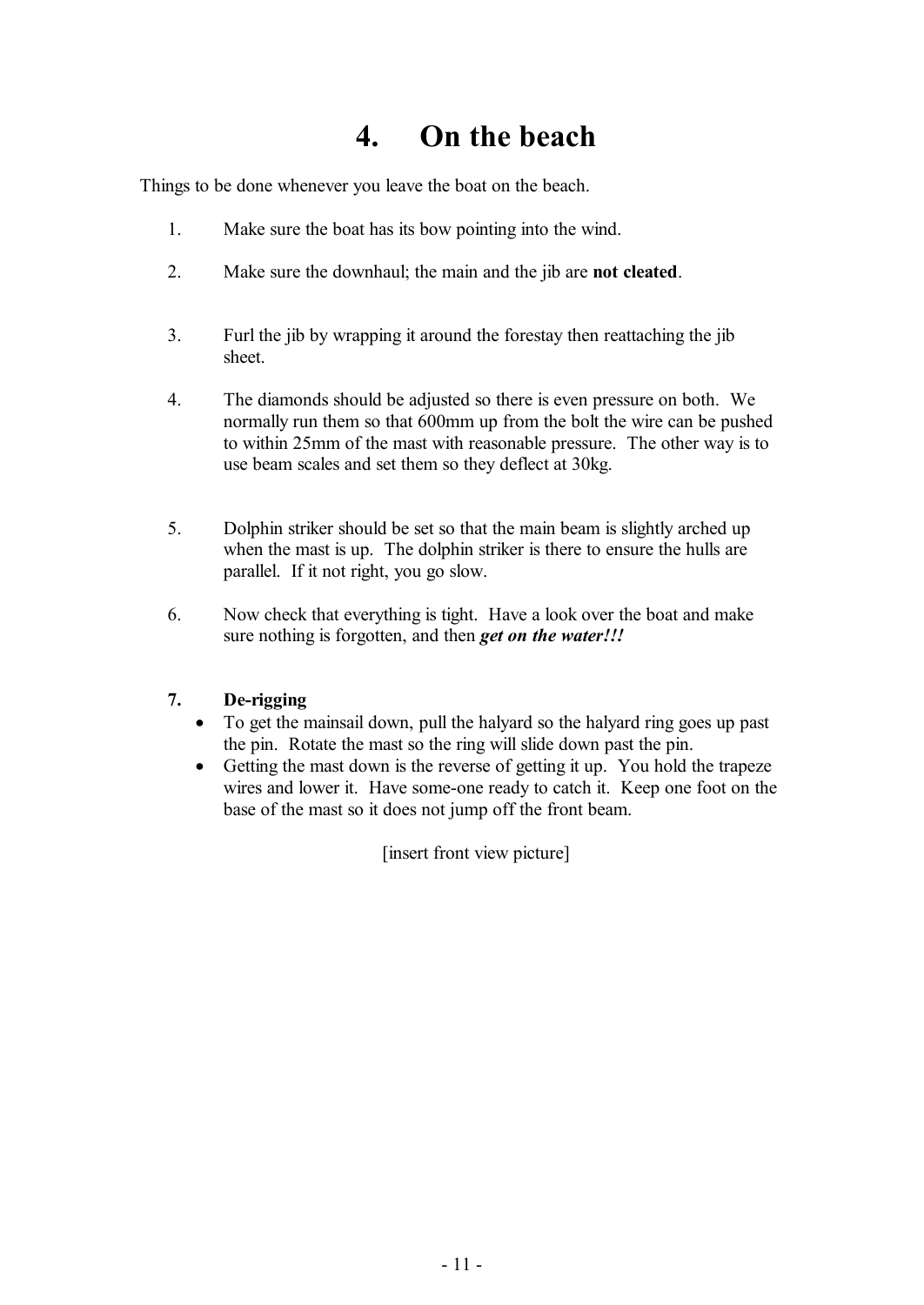### **4. On the beach**

Things to be done whenever you leave the boat on the beach.

- 1. Make sure the boat has its bow pointing into the wind.
- 2. Make sure the downhaul; the main and the jib are **not cleated**.
- 3. Furl the jib by wrapping it around the forestay then reattaching the jib sheet.
- 4. The diamonds should be adjusted so there is even pressure on both. We normally run them so that 600mm up from the bolt the wire can be pushed to within 25mm of the mast with reasonable pressure. The other way is to use beam scales and set them so they deflect at 30kg.
- 5. Dolphin striker should be set so that the main beam is slightly arched up when the mast is up. The dolphin striker is there to ensure the hulls are parallel. If it not right, you go slow.
- 6. Now check that everything is tight. Have a look over the boat and make sure nothing is forgotten, and then *get on the water!!!*

#### **7. De-rigging**

- · To get the mainsail down, pull the halyard so the halyard ring goes up past the pin. Rotate the mast so the ring will slide down past the pin.
- Getting the mast down is the reverse of getting it up. You hold the trapeze wires and lower it. Have some-one ready to catch it. Keep one foot on the base of the mast so it does not jump off the front beam.

[insert front view picture]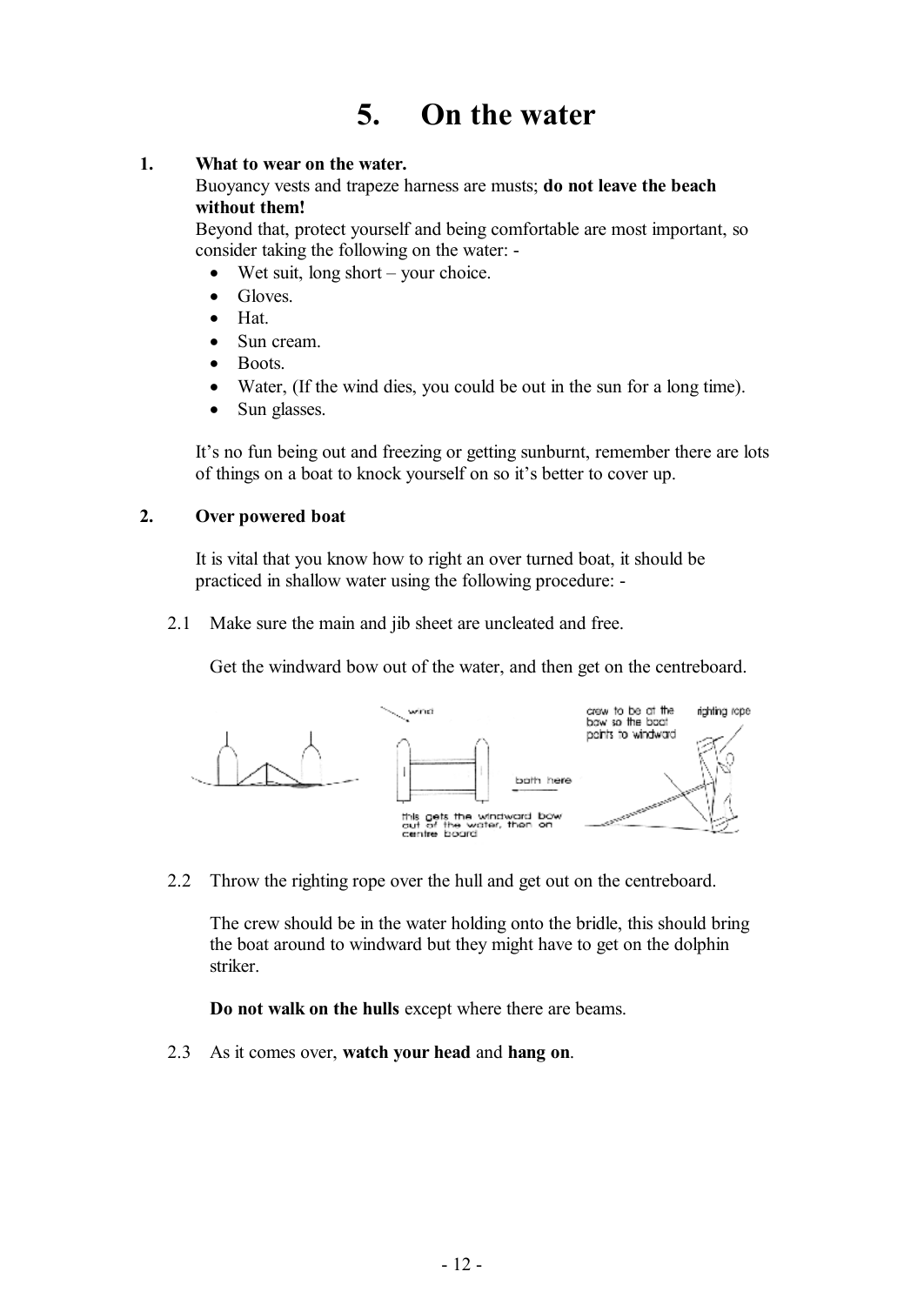### **5. On the water**

#### **1. What to wear on the water.**

Buoyancy vests and trapeze harness are musts; **do not leave the beach without them!** 

Beyond that, protect yourself and being comfortable are most important, so consider taking the following on the water: -

- Wet suit, long short your choice.
- Gloves
- Hat.
- Sun cream.
- Boots
- Water, (If the wind dies, you could be out in the sun for a long time).
- Sun glasses.

It's no fun being out and freezing or getting sunburnt, remember there are lots of things on a boat to knock yourself on so it's better to cover up.

#### **2. Over powered boat**

It is vital that you know how to right an over turned boat, it should be practiced in shallow water using the following procedure: -

2.1 Make sure the main and jib sheet are uncleated and free.

Get the windward bow out of the water, and then get on the centreboard.



2.2 Throw the righting rope over the hull and get out on the centreboard.

The crew should be in the water holding onto the bridle, this should bring the boat around to windward but they might have to get on the dolphin striker.

**Do not walk on the hulls** except where there are beams.

2.3 As it comes over, **watch your head** and **hang on**.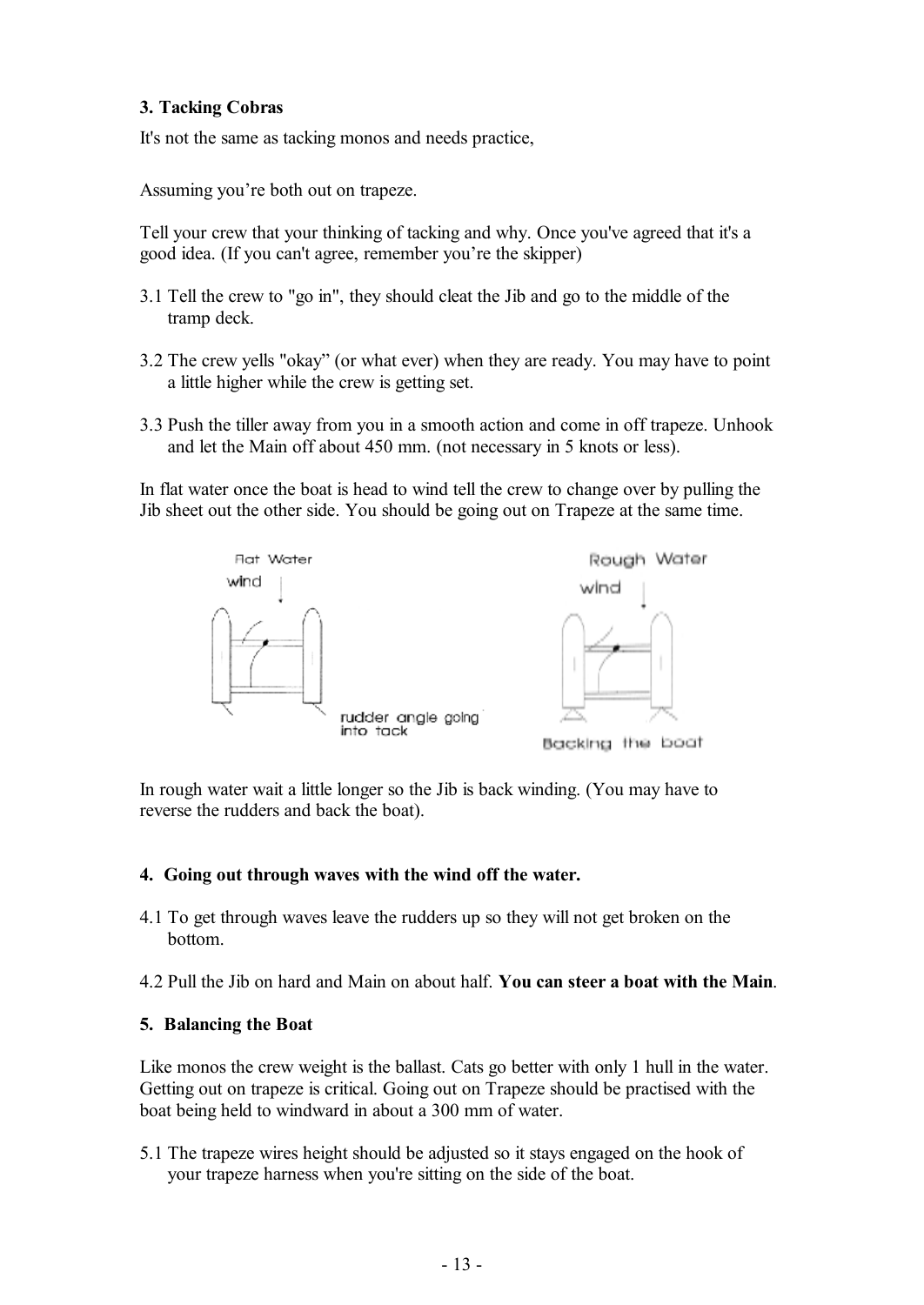#### **3. Tacking Cobras**

It's not the same as tacking monos and needs practice,

Assuming you're both out on trapeze.

Tell your crew that your thinking of tacking and why. Once you've agreed that it's a good idea. (If you can't agree, remember you're the skipper)

- 3.1 Tell the crew to "go in", they should cleat the Jib and go to the middle of the tramp deck.
- 3.2 The crew yells "okay" (or what ever) when they are ready. You may have to point a little higher while the crew is getting set.
- 3.3 Push the tiller away from you in a smooth action and come in off trapeze. Unhook and let the Main off about 450 mm. (not necessary in 5 knots or less).

In flat water once the boat is head to wind tell the crew to change over by pulling the Jib sheet out the other side. You should be going out on Trapeze at the same time.



In rough water wait a little longer so the Jib is back winding. (You may have to reverse the rudders and back the boat).

#### **4. Going out through waves with the wind off the water.**

4.1 To get through waves leave the rudders up so they will not get broken on the bottom.

4.2 Pull the Jib on hard and Main on about half. **You can steer a boat with the Main**.

#### **5. Balancing the Boat**

Like monos the crew weight is the ballast. Cats go better with only 1 hull in the water. Getting out on trapeze is critical. Going out on Trapeze should be practised with the boat being held to windward in about a 300 mm of water.

5.1 The trapeze wires height should be adjusted so it stays engaged on the hook of your trapeze harness when you're sitting on the side of the boat.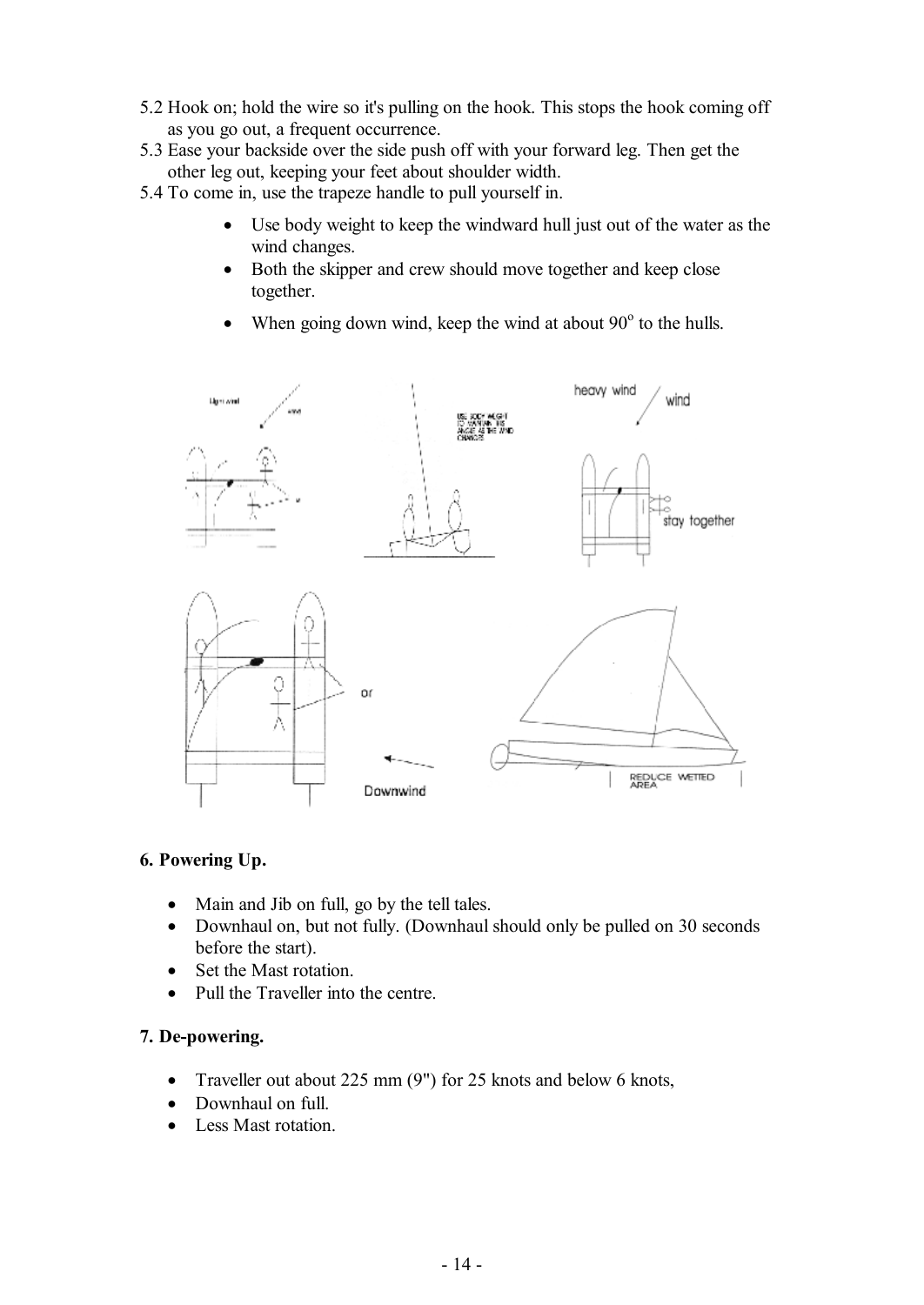- 5.2 Hook on; hold the wire so it's pulling on the hook. This stops the hook coming off as you go out, a frequent occurrence.
- 5.3 Ease your backside over the side push off with your forward leg. Then get the other leg out, keeping your feet about shoulder width.
- 5.4 To come in, use the trapeze handle to pull yourself in.
	- Use body weight to keep the windward hull just out of the water as the wind changes.
	- Both the skipper and crew should move together and keep close together.
	- When going down wind, keep the wind at about  $90^\circ$  to the hulls.



#### **6. Powering Up.**

- Main and Jib on full, go by the tell tales.
- Downhaul on, but not fully. (Downhaul should only be pulled on 30 seconds before the start).
- Set the Mast rotation.
- Pull the Traveller into the centre.

#### **7. De-powering.**

- Traveller out about 225 mm (9") for 25 knots and below 6 knots,
- Downhaul on full.
- Less Mast rotation.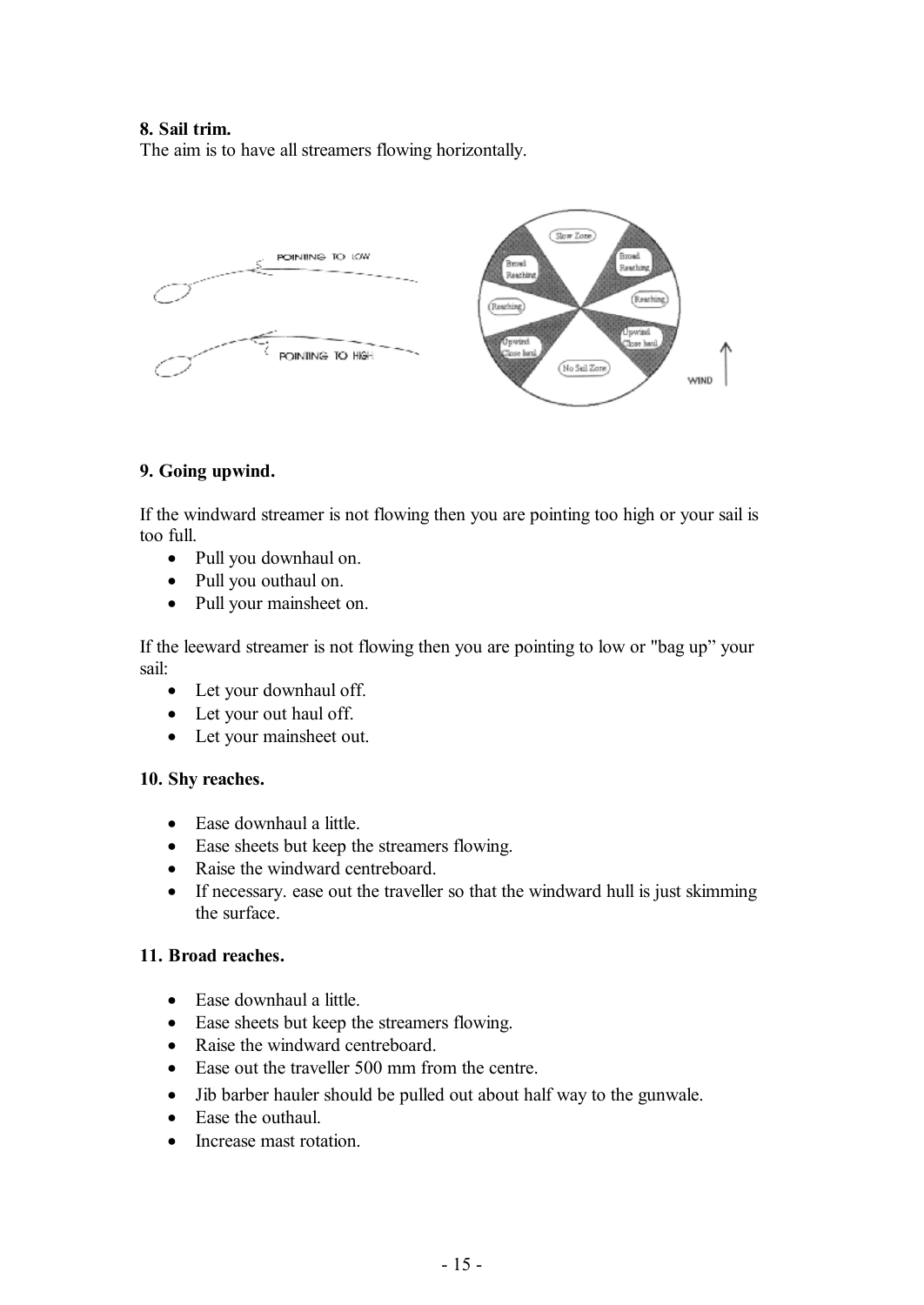#### **8. Sail trim.**

The aim is to have all streamers flowing horizontally.



#### **9. Going upwind.**

If the windward streamer is not flowing then you are pointing too high or your sail is too full.

- · Pull you downhaul on.
- · Pull you outhaul on.
- Pull your mainsheet on.

If the leeward streamer is not flowing then you are pointing to low or "bag up" your sail:

- Let your downhaul off.
- Let your out haul off.
- Let your mainsheet out.

#### **10. Shy reaches.**

- Ease downhaul a little.
- · Ease sheets but keep the streamers flowing.
- Raise the windward centreboard.
- If necessary, ease out the traveller so that the windward hull is just skimming the surface.

#### **11. Broad reaches.**

- · Ease downhaul a little.
- · Ease sheets but keep the streamers flowing.
- Raise the windward centreboard.
- Ease out the traveller 500 mm from the centre.
- · Jib barber hauler should be pulled out about half way to the gunwale.
- Ease the outhaul.
- Increase mast rotation.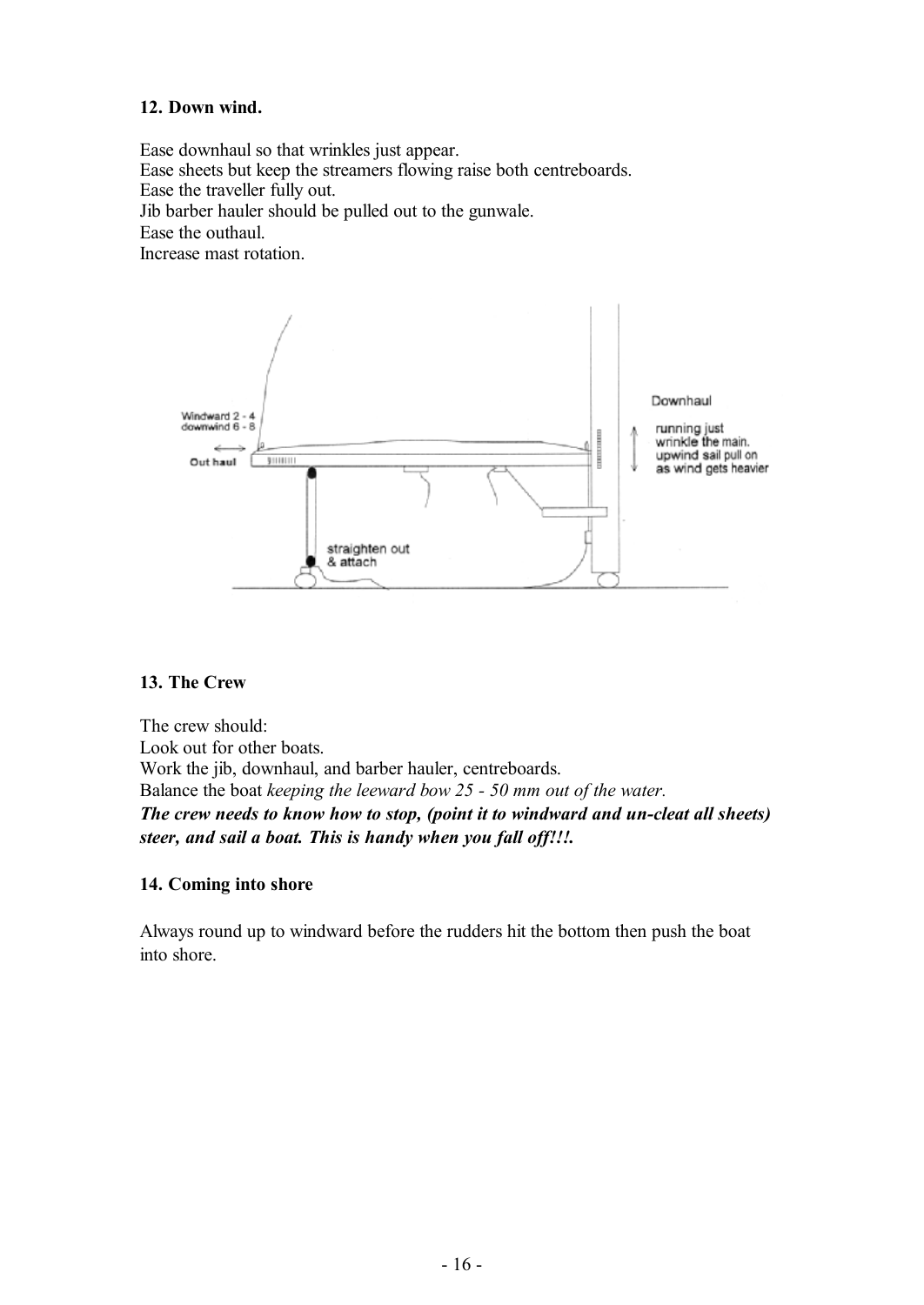#### **12. Down wind.**

Ease downhaul so that wrinkles just appear. Ease sheets but keep the streamers flowing raise both centreboards. Ease the traveller fully out. Jib barber hauler should be pulled out to the gunwale. Ease the outhaul. Increase mast rotation.



#### **13. The Crew**

The crew should: Look out for other boats. Work the jib, downhaul, and barber hauler, centreboards. Balance the boat *keeping the leeward bow 25 - 50 mm out of the water. The crew needs to know how to stop, (point it to windward and un-cleat all sheets) steer, and sail a boat. This is handy when you fall off!!!.* 

#### **14. Coming into shore**

Always round up to windward before the rudders hit the bottom then push the boat into shore.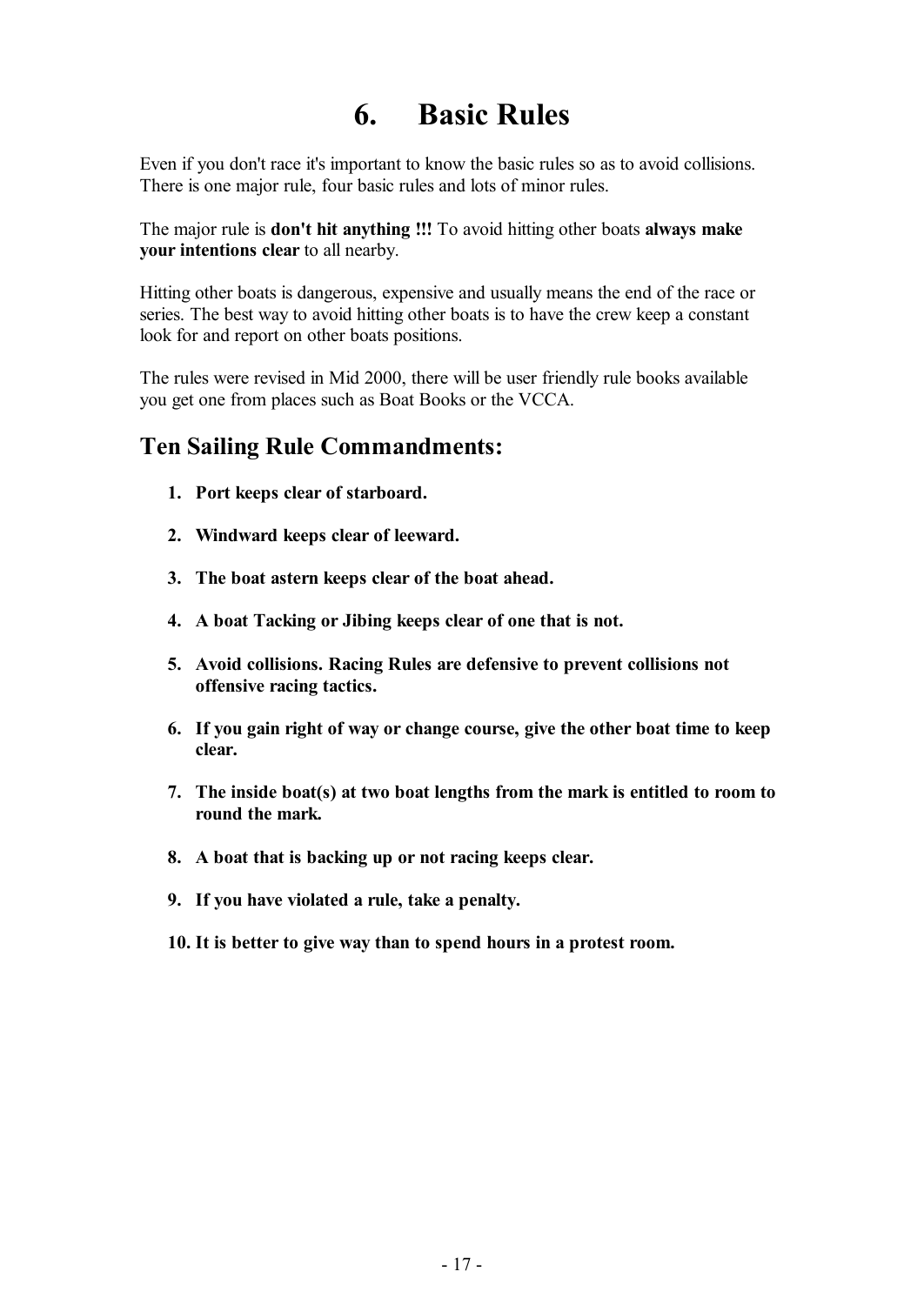## **6. Basic Rules**

Even if you don't race it's important to know the basic rules so as to avoid collisions. There is one major rule, four basic rules and lots of minor rules.

The major rule is **don't hit anything !!!** To avoid hitting other boats **always make your intentions clear** to all nearby.

Hitting other boats is dangerous, expensive and usually means the end of the race or series. The best way to avoid hitting other boats is to have the crew keep a constant look for and report on other boats positions.

The rules were revised in Mid 2000, there will be user friendly rule books available you get one from places such as Boat Books or the VCCA.

### **Ten Sailing Rule Commandments:**

- **1. Port keeps clear of starboard.**
- **2. Windward keeps clear of leeward.**
- **3. The boat astern keeps clear of the boat ahead.**
- **4. A boat Tacking or Jibing keeps clear of one that is not.**
- **5. Avoid collisions. Racing Rules are defensive to prevent collisions not offensive racing tactics.**
- **6. If you gain right of way or change course, give the other boat time to keep clear.**
- **7. The inside boat(s) at two boat lengths from the mark is entitled to room to round the mark.**
- **8. A boat that is backing up or not racing keeps clear.**
- **9. If you have violated a rule, take a penalty.**
- **10. It is better to give way than to spend hours in a protest room.**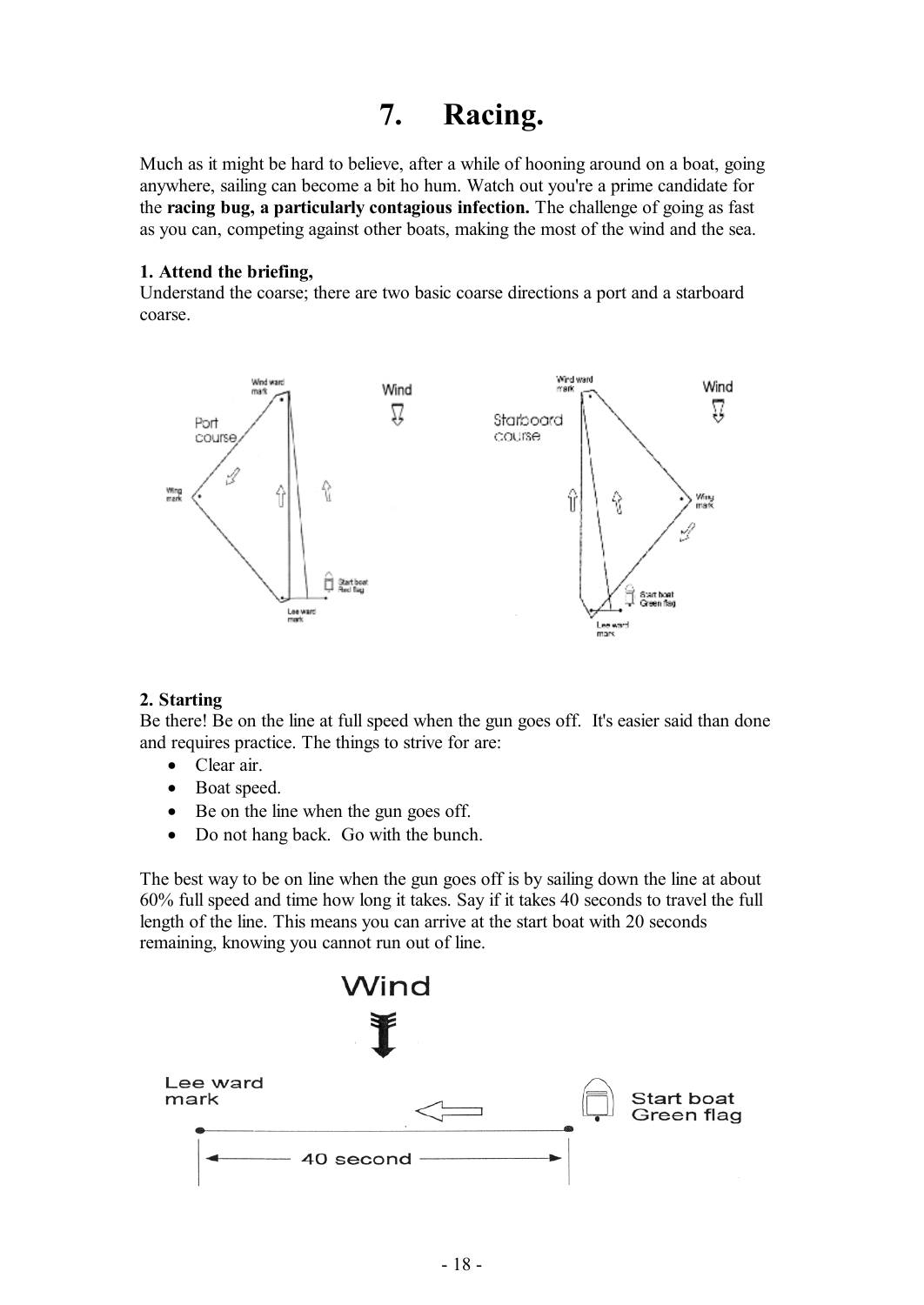### **7. Racing.**

Much as it might be hard to believe, after a while of hooning around on a boat, going anywhere, sailing can become a bit ho hum. Watch out you're a prime candidate for the **racing bug, a particularly contagious infection.** The challenge of going as fast as you can, competing against other boats, making the most of the wind and the sea.

#### **1. Attend the briefing,**

Understand the coarse; there are two basic coarse directions a port and a starboard coarse.



#### **2. Starting**

Be there! Be on the line at full speed when the gun goes off. It's easier said than done and requires practice. The things to strive for are:

- Clear air.
- Boat speed.
- Be on the line when the gun goes off.
- Do not hang back. Go with the bunch.

The best way to be on line when the gun goes off is by sailing down the line at about 60% full speed and time how long it takes. Say if it takes 40 seconds to travel the full length of the line. This means you can arrive at the start boat with 20 seconds remaining, knowing you cannot run out of line.